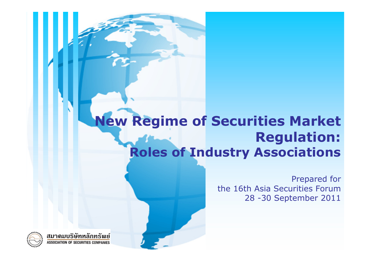#### **New Regime of Securities Market Regulation: Roles of Industry Associations**

Prepared for the 16th Asia Securities Forum28 -30 September 2011

สมาดมบริษัทหลักทรัพย์ SSOCIATION OF SECURITIES COMPANIES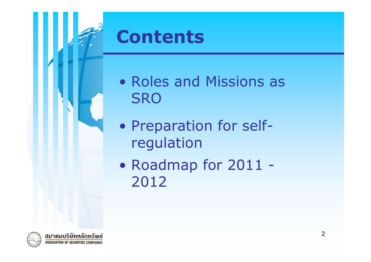

- Roles and Missions as **SRO** 
	- $\bullet$ • Preparation for selfregulation
	- $\bullet$ • Roadmap for 2011 -2012

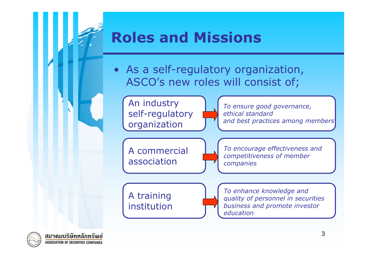# **Contents Roles and Missions**

• As a self-regulatory organization, ASCO's new roles will consist of;

An industry self-regulatory organization

*To ensure good governance, ethical standard and best practices among members*

A commercial association

*To encourage effectiveness and competitiveness of member companies*

A training institution

*To enhance knowledge and quality of personnel in securities business and promote investor education*

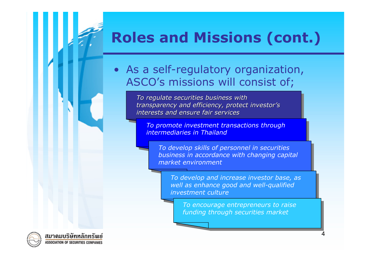## **Roles and Missions (cont.)**

• As a self-regulatory organization, ASCO's missions will consist of;

> *To regulate securities business with To regulate securities business with To regulate securities business with transparency and efficiency, protect investor's transparency and efficiency, protect investor transparency and efficiency, protect investor's interests and ensure fair servicesinterests and ensure fair services interests and ensure fair services*

*To promote investment transactions through To promote investment transactions through intermediaries in Thailandintermediaries in Thailand*

*To develop skills of personnel in securities To develop skills of personnel in securities business in accordance with changing capital business in accordance with changing capital market environmentmarket environment*

*To develop and increase investor base, as To develop and increase investor base, as well as enhance good and well-qualified well as enhance good and well-qualified investment cultureinvestment culture*

*To encourage entrepreneurs to raise To encourage entrepreneurs to raise funding through securities market funding through securities market*



ี่<br>สมาดมบริษัทหลักทรัพย<del>์</del> CIATION OF SECURITIES COMPANIES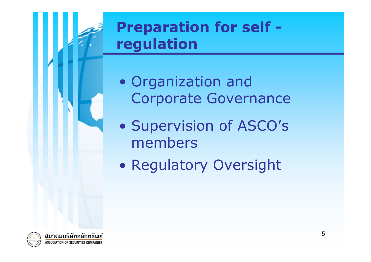### **Contracts regulation Preparation for self -**

- $\bullet$  Organization and Corporate Governance
- $\bullet$ • Supervision of ASCO's members
- $\bullet$ **• Regulatory Oversight**

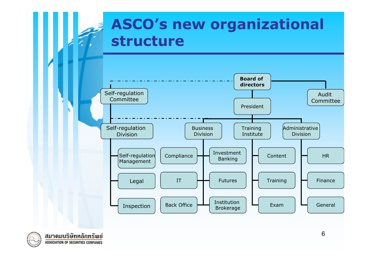### **Contents in Structure ASCO's new organizational**



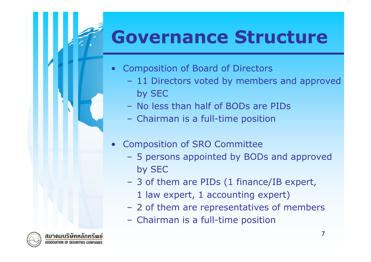# **Governance Structure**

- • Composition of Board of Directors
	- 11 Directors voted by members and approved by SEC
	- No less than half of BODs are PIDs
	- Chairman is a full-time position
- • Composition of SRO Committee
	- 5 persons appointed by BODs and approved by SEC
	- 3 of them are PIDs (1 finance/IB expert,
		- 1 law expert, 1 accounting expert)
	- 2 of them are representatives of members
	- Chairman is a full-time position

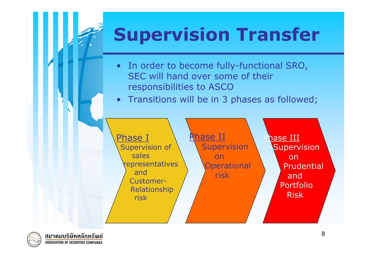# **Supervision Transfer**

- In order to become fully-functional SRO, SEC will hand over some of their responsibilities to ASCO
- Transitions will be in 3 phases as followed;



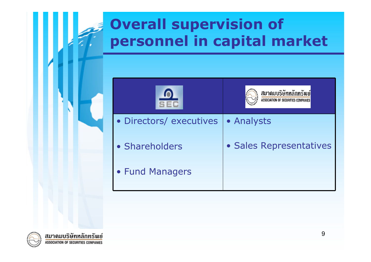### **Contents personnel in capital market Overall supervision of**

|                         | สมาดมบริษัทหลั          |
|-------------------------|-------------------------|
| · Directors/ executives | <b>• Analysts</b>       |
| • Shareholders          | · Sales Representatives |
| • Fund Managers         |                         |

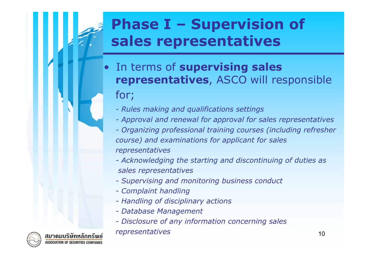### **Contract Sales representatives Phase I – Supervision of**

- $\bullet$  In terms of **supervising sales representatives**, ASCO will responsible for;
	- *- Rules making and qualifications settings*
	- *- Approval and renewal for approval for sales representatives*
	- *- Organizing professional training courses (including refresher course) and examinations for applicant for sales representatives*
	- *- Acknowledging the starting and discontinuing of duties as sales representatives*
	- *- Supervising and monitoring business conduct*
	- *- Complaint handling*
	- *- Handling of disciplinary actions*
	- *- Database Management*
	- *- Disclosure of any information concerning sales*

#### *representatives*

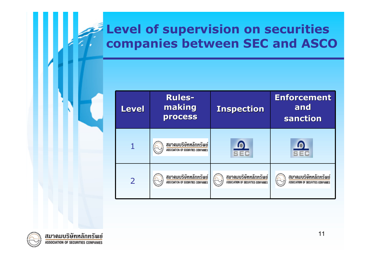# **Level of supervision on securities<br>companies between SEC and ASCO**

| <b>Level</b>             | <b>Rules-</b><br>making<br><b>process</b>                           | <b>Inspection</b>                                            | <b>Enforcement</b><br>and<br>sanction                        |
|--------------------------|---------------------------------------------------------------------|--------------------------------------------------------------|--------------------------------------------------------------|
|                          | สมาดมบริษัทหลักทรัพย์<br><b>ASSOCIATION OF SECURITIES COMPANIES</b> |                                                              |                                                              |
| $\overline{\phantom{0}}$ | สมาดมบริษัทหลักทรัพย์<br><b>ASSOCIATION OF SECURITIES COMPANIES</b> | สมาดมบริษัทหลักทรัพย์<br>ASSOCIATION OF SECURITIES COMPANIES | สมาดมบริษัทหลักทรัพย์<br>ASSOCIATION OF SECURITIES COMPANIES |

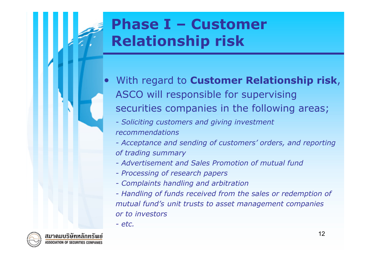### **Contents in the Relationship risk Phase I – Customer**

- • With regard to **Customer Relationship risk**, ASCO will responsible for supervising securities companies in the following areas;
	- *- Soliciting customers and giving investment recommendations*
	- *- Acceptance and sending of customers' orders, and reporting of trading summary*
	- *- Advertisement and Sales Promotion of mutual fund*
	- *- Processing of research papers*
	- *- Complaints handling and arbitration*
	- *- Handling of funds received from the sales or redemption of mutual fund's unit trusts to asset management companies or to investors*
	- *- etc.*

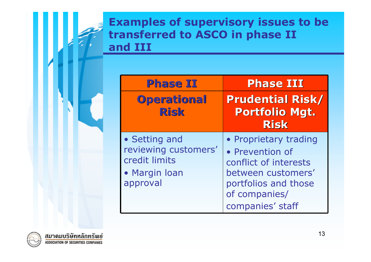#### **Contract Lines Contract Section Examples of supervisory issues to be transferred to ASCO in phase II**

| <b>Phase II</b>                                                                     | <b>Phase III</b>                                                                                                                                     |
|-------------------------------------------------------------------------------------|------------------------------------------------------------------------------------------------------------------------------------------------------|
| Operational<br><b>Risk</b>                                                          | <b>Prudential Risk/</b><br><b>Portfolio Mgt.</b><br><b>Risk</b>                                                                                      |
| • Setting and<br>reviewing customers'<br>credit limits<br>• Margin Ioan<br>approval | • Proprietary trading<br>• Prevention of<br>conflict of interests<br>between customers'<br>portfolios and those<br>of companies/<br>companies' staff |

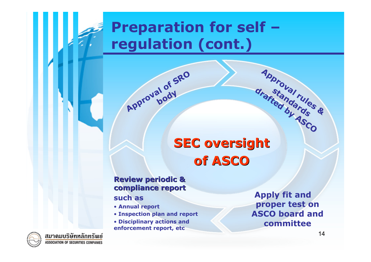### **Preparation for self – regulation (cont.)**

**of SRO** 

**body**

#### **Content SEC oversight of ASCO of ASCO**

#### **Review periodic & Review periodic & compliance report compliance report such as**

**Approval** 

- **Annual report**
- **Inspection plan and report**
- **Disciplinary actions and enforcement report, etc**

**Apply fit and proper test on ASCO board and committee**

**Approval rules**

**& standards drafted by ASCO**



สมาดมบริษัทหลักทรัพย์ ASSOCIATION OF SECURITIES COMPANIES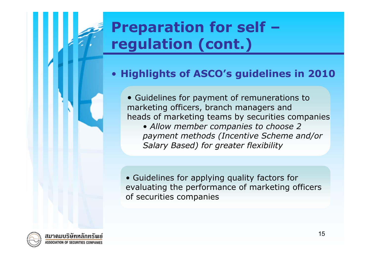### **Preparation for self – regulation (cont.)**

#### •**Highlights of ASCO's guidelines in 2010**

• Guidelines for payment of remunerations to marketing officers, branch managers and heads of marketing teams by securities companies

**Contents** *Salary Based) for greater flexibility* • *Allow member companies to choose 2 payment methods (Incentive Scheme and/or* 

• Guidelines for applying quality factors for evaluating the performance of marketing officers of securities companies

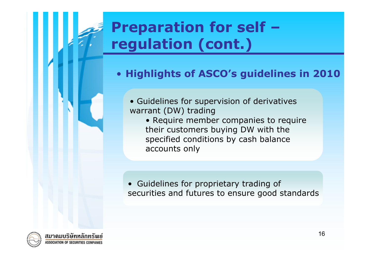### **Preparation for self – regulation (cont.)**

#### • **Highlights of ASCO's guidelines in 2010**

- Guidelines for supervision of derivatives warrant (DW) trading
- **Contents**<br>
accounts only • Require member companies to require their customers buying DW with the specified conditions by cash balance

• Guidelines for proprietary trading of securities and futures to ensure good standards

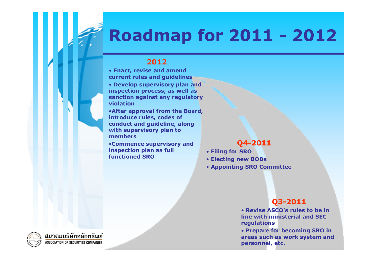## **Roadmap for 2011 - 2012**

#### **2012**

• **Enact, revise and amend current rules and guidelines** 

• **Develop supervisory plan and inspection process, as well as sanction against any regulatory violation**

•**After approval from the Board, introduce rules, codes of conduct and guideline, along with supervisory plan to members**

•Commence supervisory and<br>inspection plan as full **inspection plan as full functioned SRO**

#### **Q4-2011**

- **Filing for SRO**
- **Electing new BODs**
- **Appointing SRO Committee**

#### **Q3-2011**

• **Revise ASCO's rules to be in line with ministerial and SEC regulations**

17 **areas such as work system and**  • **Prepare for becoming SRO in personnel, etc.**